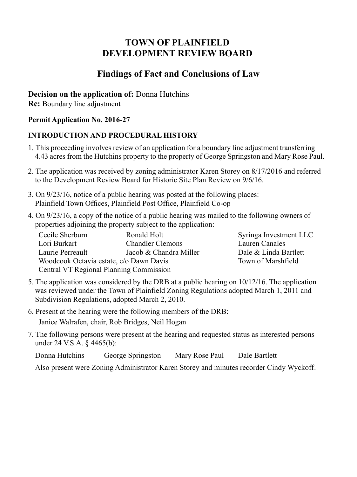# **TOWN OF PLAINFIELD DEVELOPMENT REVIEW BOARD**

## **Findings of Fact and Conclusions of Law**

## **Decision on the application of:** Donna Hutchins

**Re:** Boundary line adjustment

### **Permit Application No. 2016-27**

## **INTRODUCTION AND PROCEDURAL HISTORY**

- 1. This proceeding involves review of an application for a boundary line adjustment transferring 4.43 acres from the Hutchins property to the property of George Springston and Mary Rose Paul.
- 2. The application was received by zoning administrator Karen Storey on 8/17/2016 and referred to the Development Review Board for Historic Site Plan Review on 9/6/16.
- 3. On 9/23/16, notice of a public hearing was posted at the following places: Plainfield Town Offices, Plainfield Post Office, Plainfield Co-op
- 4. On 9/23/16, a copy of the notice of a public hearing was mailed to the following owners of properties adjoining the property subject to the application:

| Cecile Sherburn                                | Ronald Holt             |
|------------------------------------------------|-------------------------|
| Lori Burkart                                   | <b>Chandler Clemons</b> |
| Laurie Perreault                               | Jacob & Chandra Miller  |
| Woodcook Octavia estate, c/o Dawn Davis        |                         |
| <b>Central VT Regional Planning Commission</b> |                         |

Syringa Investment LLC Lauren Canales Dale & Linda Bartlett Town of Marshfield

- 5. The application was considered by the DRB at a public hearing on 10/12/16. The application was reviewed under the Town of Plainfield Zoning Regulations adopted March 1, 2011 and Subdivision Regulations, adopted March 2, 2010.
- 6. Present at the hearing were the following members of the DRB: Janice Walrafen, chair, Rob Bridges, Neil Hogan
- 7. The following persons were present at the hearing and requested status as interested persons under 24 V.S.A. § 4465(b):

Donna Hutchins George Springston Mary Rose Paul Dale Bartlett

Also present were Zoning Administrator Karen Storey and minutes recorder Cindy Wyckoff.